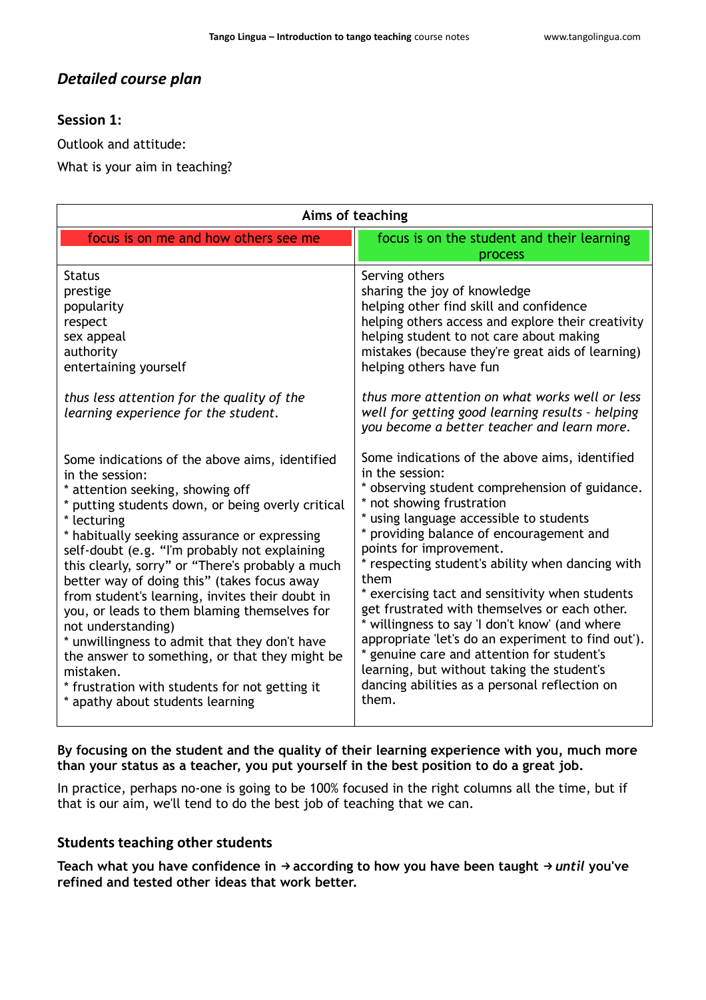# *Detailed course plan*

### **Session 1:**

Outlook and attitude:

What is your aim in teaching?

| Aims of teaching                                                                                                                                                                                                                                                                                                                                                                                                                                                                                                                                                                                                                                                                                             |                                                                                                                                                                                                                                                                                                                                                                                                                                                                                                                                                                                                                                                                                                |
|--------------------------------------------------------------------------------------------------------------------------------------------------------------------------------------------------------------------------------------------------------------------------------------------------------------------------------------------------------------------------------------------------------------------------------------------------------------------------------------------------------------------------------------------------------------------------------------------------------------------------------------------------------------------------------------------------------------|------------------------------------------------------------------------------------------------------------------------------------------------------------------------------------------------------------------------------------------------------------------------------------------------------------------------------------------------------------------------------------------------------------------------------------------------------------------------------------------------------------------------------------------------------------------------------------------------------------------------------------------------------------------------------------------------|
| focus is on me and how others see me                                                                                                                                                                                                                                                                                                                                                                                                                                                                                                                                                                                                                                                                         | focus is on the student and their learning<br>process                                                                                                                                                                                                                                                                                                                                                                                                                                                                                                                                                                                                                                          |
| <b>Status</b><br>prestige<br>popularity<br>respect<br>sex appeal<br>authority<br>entertaining yourself                                                                                                                                                                                                                                                                                                                                                                                                                                                                                                                                                                                                       | Serving others<br>sharing the joy of knowledge<br>helping other find skill and confidence<br>helping others access and explore their creativity<br>helping student to not care about making<br>mistakes (because they're great aids of learning)<br>helping others have fun                                                                                                                                                                                                                                                                                                                                                                                                                    |
| thus less attention for the quality of the<br>learning experience for the student.                                                                                                                                                                                                                                                                                                                                                                                                                                                                                                                                                                                                                           | thus more attention on what works well or less<br>well for getting good learning results - helping<br>you become a better teacher and learn more.                                                                                                                                                                                                                                                                                                                                                                                                                                                                                                                                              |
| Some indications of the above aims, identified<br>in the session:<br>* attention seeking, showing off<br>* putting students down, or being overly critical<br>* lecturing<br>* habitually seeking assurance or expressing<br>self-doubt (e.g. "I'm probably not explaining<br>this clearly, sorry" or "There's probably a much<br>better way of doing this" (takes focus away<br>from student's learning, invites their doubt in<br>you, or leads to them blaming themselves for<br>not understanding)<br>* unwillingness to admit that they don't have<br>the answer to something, or that they might be<br>mistaken.<br>* frustration with students for not getting it<br>* apathy about students learning | Some indications of the above aims, identified<br>in the session:<br>* observing student comprehension of guidance.<br>* not showing frustration<br>* using language accessible to students<br>* providing balance of encouragement and<br>points for improvement.<br>* respecting student's ability when dancing with<br>them<br>* exercising tact and sensitivity when students<br>get frustrated with themselves or each other.<br>* willingness to say 'I don't know' (and where<br>appropriate 'let's do an experiment to find out').<br>genuine care and attention for student's<br>learning, but without taking the student's<br>dancing abilities as a personal reflection on<br>them. |

### **By focusing on the student and the quality of their learning experience with you, much more than your status as a teacher, you put yourself in the best position to do a great job.**

In practice, perhaps no-one is going to be 100% focused in the right columns all the time, but if that is our aim, we'll tend to do the best job of teaching that we can.

### **Students teaching other students**

**Teach what you have confidence in** →**according to how you have been taught** → *until* **you've refined and tested other ideas that work better.**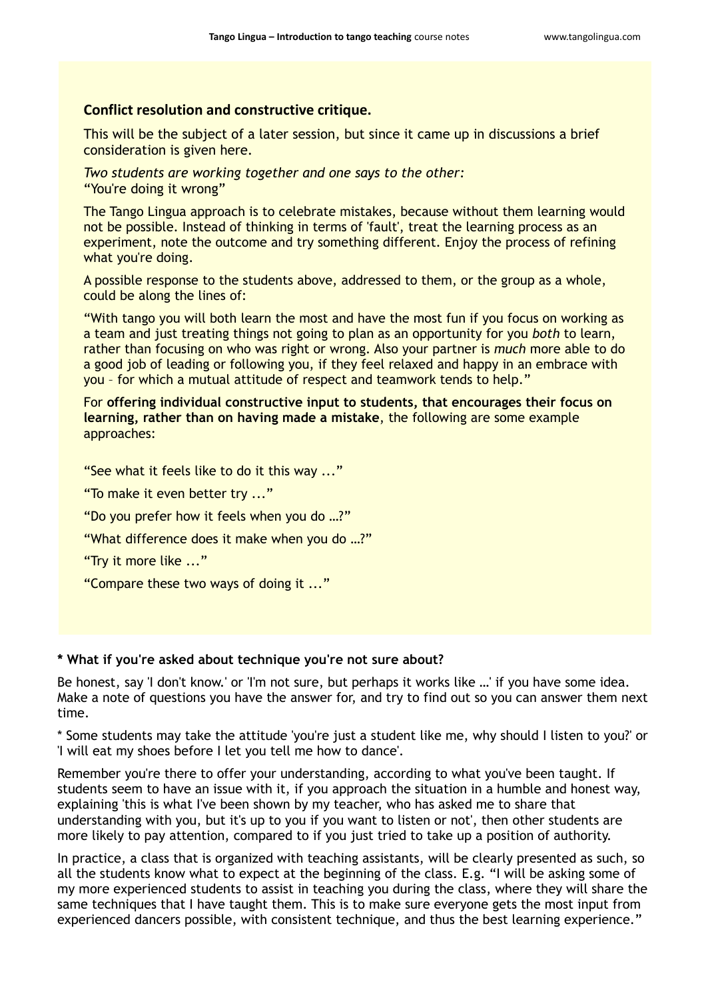#### **Conflict resolution and constructive critique.**

This will be the subject of a later session, but since it came up in discussions a brief consideration is given here.

*Two students are working together and one says to the other:* "You're doing it wrong"

The Tango Lingua approach is to celebrate mistakes, because without them learning would not be possible. Instead of thinking in terms of 'fault', treat the learning process as an experiment, note the outcome and try something different. Enjoy the process of refining what you're doing.

A possible response to the students above, addressed to them, or the group as a whole, could be along the lines of:

"With tango you will both learn the most and have the most fun if you focus on working as a team and just treating things not going to plan as an opportunity for you *both* to learn, rather than focusing on who was right or wrong. Also your partner is *much* more able to do a good job of leading or following you, if they feel relaxed and happy in an embrace with you – for which a mutual attitude of respect and teamwork tends to help."

For **offering individual constructive input to students, that encourages their focus on learning, rather than on having made a mistake**, the following are some example approaches:

"See what it feels like to do it this way ..."

"To make it even better try ..."

"Do you prefer how it feels when you do …?"

"What difference does it make when you do …?"

"Try it more like ..."

"Compare these two ways of doing it ..."

#### **\* What if you're asked about technique you're not sure about?**

Be honest, say 'I don't know.' or 'I'm not sure, but perhaps it works like …' if you have some idea. Make a note of questions you have the answer for, and try to find out so you can answer them next time.

\* Some students may take the attitude 'you're just a student like me, why should I listen to you?' or 'I will eat my shoes before I let you tell me how to dance'.

Remember you're there to offer your understanding, according to what you've been taught. If students seem to have an issue with it, if you approach the situation in a humble and honest way, explaining 'this is what I've been shown by my teacher, who has asked me to share that understanding with you, but it's up to you if you want to listen or not', then other students are more likely to pay attention, compared to if you just tried to take up a position of authority.

In practice, a class that is organized with teaching assistants, will be clearly presented as such, so all the students know what to expect at the beginning of the class. E.g. "I will be asking some of my more experienced students to assist in teaching you during the class, where they will share the same techniques that I have taught them. This is to make sure everyone gets the most input from experienced dancers possible, with consistent technique, and thus the best learning experience."